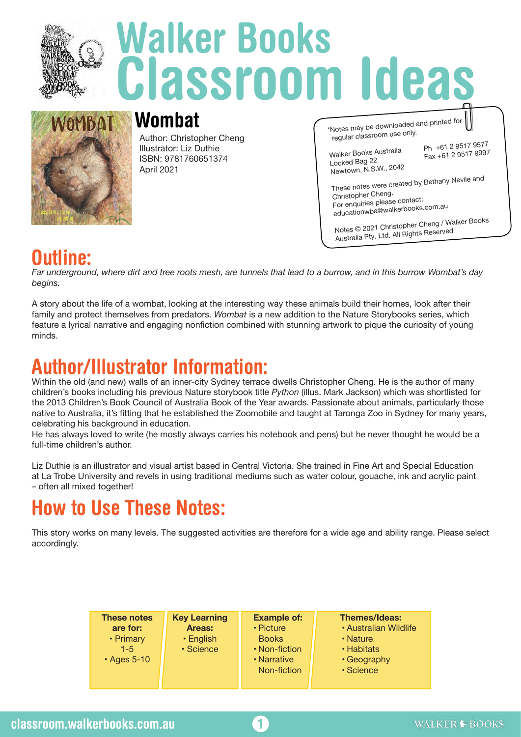

# **Walker Books Classroom Ideas**



### **Wombat**

Author: Christopher Cheng Illustrator: Liz Duthie ISBN: 9781760651374 April 2021

| *Notes may be downloaded and printed for<br>regular classroom use only.                                                                  |                                           |  |  |
|------------------------------------------------------------------------------------------------------------------------------------------|-------------------------------------------|--|--|
| Walker Books Australia<br>Locked Bag 22<br>Newtown, N.S.W., 2042                                                                         | Ph +61 2 9517 9577<br>Fax +61 2 9517 9997 |  |  |
| These notes were created by Bethany Nevile and<br>Christopher Cheng.<br>For enquiries please contact:<br>educationwba@walkerbooks.com.au |                                           |  |  |
| Notes © 2021 Christopher Cheng / Walker Books<br>Australia Ptv. Ltd. All Rights Reserved                                                 |                                           |  |  |

### **Outline:**

*Far underground, where dirt and tree roots mesh, are tunnels that lead to a burrow, and in this burrow Wombat's day begins.*

A story about the life of a wombat, looking at the interesting way these animals build their homes, look after their family and protect themselves from predators. *Wombat* is a new addition to the Nature Storybooks series, which feature a lyrical narrative and engaging nonfiction combined with stunning artwork to pique the curiosity of young minds.

### **Author/Illustrator Information:**

Within the old (and new) walls of an inner-city Sydney terrace dwells Christopher Cheng. He is the author of many children's books including his previous Nature storybook title *Python* (illus. Mark Jackson) which was shortlisted for the 2013 Children's Book Council of Australia Book of the Year awards. Passionate about animals, particularly those native to Australia, it's fitting that he established the Zoomobile and taught at Taronga Zoo in Sydney for many years, celebrating his background in education.

He has always loved to write (he mostly always carries his notebook and pens) but he never thought he would be a full-time children's author.

Liz Duthie is an illustrator and visual artist based in Central Victoria. She trained in Fine Art and Special Education at La Trobe University and revels in using traditional mediums such as water colour, gouache, ink and acrylic paint – often all mixed together!

## **How to Use These Notes:**

This story works on many levels. The suggested activities are therefore for a wide age and ability range. Please select accordingly.

| <b>These notes</b> | <b>Key Learning</b> | <b>Example of:</b> | <b>Themes/Ideas:</b>  |
|--------------------|---------------------|--------------------|-----------------------|
| are for:           | Areas:              | • Picture          | • Australian Wildlife |
| • Primary          | • English           | <b>Books</b>       | • Nature              |
| $1 - 5$            | · Science           | • Non-fiction      | • Habitats            |
| $\cdot$ Ages 5-10  |                     | • Narrative        | • Geography           |
|                    |                     | Non-fiction        | · Science             |
|                    |                     |                    |                       |

**1**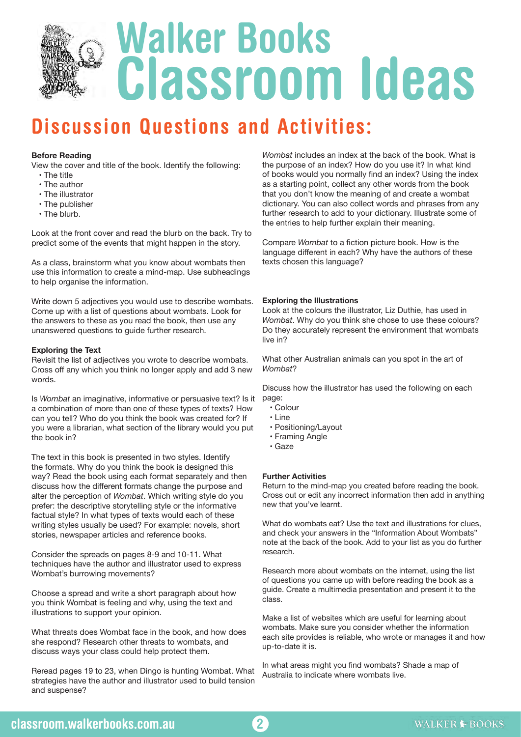

### **Discussion Questions and Activities:**

#### **Before Reading**

View the cover and title of the book. Identify the following:

- The title
- The author
- The illustrator
- The publisher
- The blurb.

Look at the front cover and read the blurb on the back. Try to predict some of the events that might happen in the story.

As a class, brainstorm what you know about wombats then use this information to create a mind-map. Use subheadings to help organise the information.

Write down 5 adjectives you would use to describe wombats. Come up with a list of questions about wombats. Look for the answers to these as you read the book, then use any unanswered questions to guide further research.

#### **Exploring the Text**

Revisit the list of adjectives you wrote to describe wombats. Cross off any which you think no longer apply and add 3 new words.

Is *Wombat* an imaginative, informative or persuasive text? Is it page: a combination of more than one of these types of texts? How can you tell? Who do you think the book was created for? If you were a librarian, what section of the library would you put the book in?

The text in this book is presented in two styles. Identify the formats. Why do you think the book is designed this way? Read the book using each format separately and then discuss how the different formats change the purpose and alter the perception of *Wombat*. Which writing style do you prefer: the descriptive storytelling style or the informative factual style? In what types of texts would each of these writing styles usually be used? For example: novels, short stories, newspaper articles and reference books.

Consider the spreads on pages 8-9 and 10-11. What techniques have the author and illustrator used to express Wombat's burrowing movements?

Choose a spread and write a short paragraph about how you think Wombat is feeling and why, using the text and illustrations to support your opinion.

What threats does Wombat face in the book, and how does she respond? Research other threats to wombats, and discuss ways your class could help protect them.

Reread pages 19 to 23, when Dingo is hunting Wombat. What strategies have the author and illustrator used to build tension and suspense?

*Wombat* includes an index at the back of the book. What is the purpose of an index? How do you use it? In what kind of books would you normally find an index? Using the index as a starting point, collect any other words from the book that you don't know the meaning of and create a wombat dictionary. You can also collect words and phrases from any further research to add to your dictionary. Illustrate some of the entries to help further explain their meaning.

Compare *Wombat* to a fiction picture book. How is the language different in each? Why have the authors of these texts chosen this language?

#### **Exploring the Illustrations**

Look at the colours the illustrator, Liz Duthie, has used in *Wombat*. Why do you think she chose to use these colours? Do they accurately represent the environment that wombats live in?

What other Australian animals can you spot in the art of *Wombat*?

Discuss how the illustrator has used the following on each

- Colour
- Line
- Positioning/Layout
- Framing Angle
- Gaze

#### **Further Activities**

Return to the mind-map you created before reading the book. Cross out or edit any incorrect information then add in anything new that you've learnt.

What do wombats eat? Use the text and illustrations for clues, and check your answers in the "Information About Wombats" note at the back of the book. Add to your list as you do further research.

Research more about wombats on the internet, using the list of questions you came up with before reading the book as a guide. Create a multimedia presentation and present it to the class.

Make a list of websites which are useful for learning about wombats. Make sure you consider whether the information each site provides is reliable, who wrote or manages it and how up-to-date it is.

In what areas might you find wombats? Shade a map of Australia to indicate where wombats live.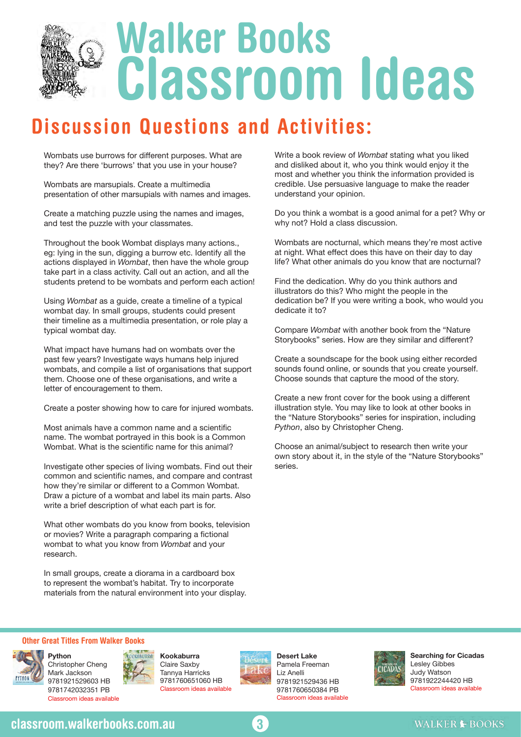

### **Discussion Questions and Activities:**

Wombats use burrows for different purposes. What are they? Are there 'burrows' that you use in your house?

Wombats are marsupials. Create a multimedia presentation of other marsupials with names and images.

Create a matching puzzle using the names and images, and test the puzzle with your classmates.

Throughout the book Wombat displays many actions., eg: lying in the sun, digging a burrow etc. Identify all the actions displayed in *Wombat*, then have the whole group take part in a class activity. Call out an action, and all the students pretend to be wombats and perform each action!

Using *Wombat* as a guide, create a timeline of a typical wombat day. In small groups, students could present their timeline as a multimedia presentation, or role play a typical wombat day.

What impact have humans had on wombats over the past few years? Investigate ways humans help injured wombats, and compile a list of organisations that support them. Choose one of these organisations, and write a letter of encouragement to them.

Create a poster showing how to care for injured wombats.

Most animals have a common name and a scientific name. The wombat portrayed in this book is a Common Wombat. What is the scientific name for this animal?

Investigate other species of living wombats. Find out their common and scientific names, and compare and contrast how they're similar or different to a Common Wombat. Draw a picture of a wombat and label its main parts. Also write a brief description of what each part is for.

What other wombats do you know from books, television or movies? Write a paragraph comparing a fictional wombat to what you know from *Wombat* and your research.

In small groups, create a diorama in a cardboard box to represent the wombat's habitat. Try to incorporate materials from the natural environment into your display. Write a book review of *Wombat* stating what you liked and disliked about it, who you think would enjoy it the most and whether you think the information provided is credible. Use persuasive language to make the reader understand your opinion.

Do you think a wombat is a good animal for a pet? Why or why not? Hold a class discussion.

Wombats are nocturnal, which means they're most active at night. What effect does this have on their day to day life? What other animals do you know that are nocturnal?

Find the dedication. Why do you think authors and illustrators do this? Who might the people in the dedication be? If you were writing a book, who would you dedicate it to?

Compare *Wombat* with another book from the "Nature Storybooks" series. How are they similar and different?

Create a soundscape for the book using either recorded sounds found online, or sounds that you create yourself. Choose sounds that capture the mood of the story.

Create a new front cover for the book using a different illustration style. You may like to look at other books in the "Nature Storybooks" series for inspiration, including *Python*, also by Christopher Cheng.

Choose an animal/subject to research then write your own story about it, in the style of the "Nature Storybooks" series.

#### **Other Great Titles From Walker Books**



Christopher Cheng Mark Jackson 9781921529603 HB 9781742032351 PB Classroom ideas available



**Kookaburra** Claire Saxby Tannya Harricks 9781760651060 HB Classroom ideas available



**Desert Lake**  Pamela Freeman Liz Anelli 9781921529436 HB 9781760650384 PB Classroom ideas available



**Searching for Cicadas**  Lesley Gibbes Judy Watson 9781922244420 HB Classroom ideas available

### **classroom.walkerbooks.com.au**



#### **WALKER ▶ BOOKS**